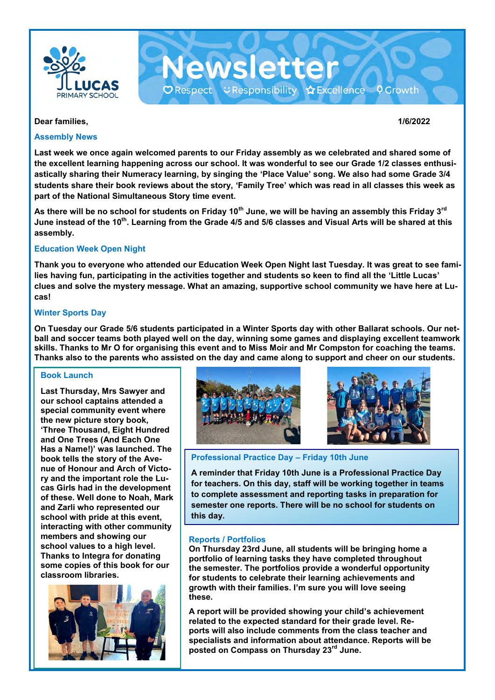

**Dear families, 1/6/2022**

### **Assembly News**

**Last week we once again welcomed parents to our Friday assembly as we celebrated and shared some of the excellent learning happening across our school. It was wonderful to see our Grade 1/2 classes enthusiastically sharing their Numeracy learning, by singing the 'Place Value' song. We also had some Grade 3/4 students share their book reviews about the story, 'Family Tree' which was read in all classes this week as part of the National Simultaneous Story time event.** 

Newsletter

O Respect こResponsibility ☆Excellence ♀Growth

**As there will be no school for students on Friday 10th June, we will be having an assembly this Friday 3rd June instead of the 10th. Learning from the Grade 4/5 and 5/6 classes and Visual Arts will be shared at this assembly.**

## **Education Week Open Night**

**Thank you to everyone who attended our Education Week Open Night last Tuesday. It was great to see families having fun, participating in the activities together and students so keen to find all the 'Little Lucas' clues and solve the mystery message. What an amazing, supportive school community we have here at Lucas!** 

## **Winter Sports Day**

**On Tuesday our Grade 5/6 students participated in a Winter Sports day with other Ballarat schools. Our netball and soccer teams both played well on the day, winning some games and displaying excellent teamwork skills. Thanks to Mr O for organising this event and to Miss Moir and Mr Compston for coaching the teams. Thanks also to the parents who assisted on the day and came along to support and cheer on our students.** 

## **Book Launch**

**Last Thursday, Mrs Sawyer and our school captains attended a special community event where the new picture story book, 'Three Thousand, Eight Hundred and One Trees (And Each One Has a Name!)' was launched. The book tells the story of the Avenue of Honour and Arch of Victory and the important role the Lucas Girls had in the development of these. Well done to Noah, Mark and Zarli who represented our school with pride at this event, interacting with other community members and showing our school values to a high level. Thanks to Integra for donating some copies of this book for our classroom libraries.** 







**Professional Practice Day – Friday 10th June**

**A reminder that Friday 10th June is a Professional Practice Day for teachers. On this day, staff will be working together in teams to complete assessment and reporting tasks in preparation for semester one reports. There will be no school for students on this day.** 

## **Reports / Portfolios**

**On Thursday 23rd June, all students will be bringing home a portfolio of learning tasks they have completed throughout the semester. The portfolios provide a wonderful opportunity for students to celebrate their learning achievements and growth with their families. I'm sure you will love seeing these.**

**A report will be provided showing your child's achievement related to the expected standard for their grade level. Reports will also include comments from the class teacher and specialists and information about attendance. Reports will be posted on Compass on Thursday 23rd June.**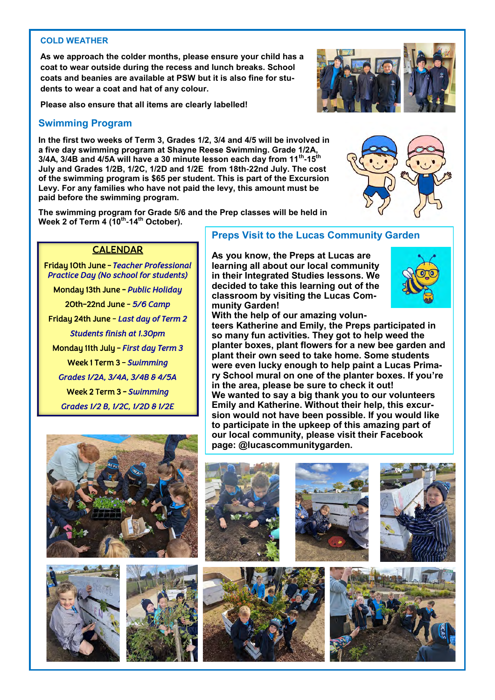### **COLD WEATHER**

**As we approach the colder months, please ensure your child has a coat to wear outside during the recess and lunch breaks. School coats and beanies are available at PSW but it is also fine for students to wear a coat and hat of any colour.**

**Please also ensure that all items are clearly labelled!**

## **Swimming Program**

**In the first two weeks of Term 3, Grades 1/2, 3/4 and 4/5 will be involved in a five day swimming program at Shayne Reese Swimming. Grade 1/2A, 3/4A, 3/4B and 4/5A will have a 30 minute lesson each day from 11th -15th July and Grades 1/2B, 1/2C, 1/2D and 1/2E from 18th-22nd July. The cost of the swimming program is \$65 per student. This is part of the Excursion Levy. For any families who have not paid the levy, this amount must be paid before the swimming program.** 

**The swimming program for Grade 5/6 and the Prep classes will be held in Week 2 of Term 4 (10th -14th October).** 

## CALENDAR

Friday 10th June - *Teacher Professional Practice Day (No school for students)* 

Monday 13th June - *Public Holiday*  20th-22nd June *- 5/6 Camp*  Friday 24th June *- Last day of Term 2 Students finish at 1.30pm*  Monday 11th July - *First day Term 3*  Week 1 Term 3 - *Swimming Grades 1/2A, 3/4A, 3/4B & 4/5A*  Week 2 Term 3 - *Swimming Grades 1/2 B, 1/2C, 1/2D & 1/2E* 

## **Preps Visit to the Lucas Community Garden**

**As you know, the Preps at Lucas are learning all about our local community in their Integrated Studies lessons. We decided to take this learning out of the classroom by visiting the Lucas Community Garden!**

**With the help of our amazing volunteers Katherine and Emily, the Preps participated in so many fun activities. They got to help weed the planter boxes, plant flowers for a new bee garden and plant their own seed to take home. Some students were even lucky enough to help paint a Lucas Primary School mural on one of the planter boxes. If you're in the area, please be sure to check it out! We wanted to say a big thank you to our volunteers Emily and Katherine. Without their help, this excursion would not have been possible. If you would like to participate in the upkeep of this amazing part of our local community, please visit their Facebook page: @lucascommunitygarden.**



















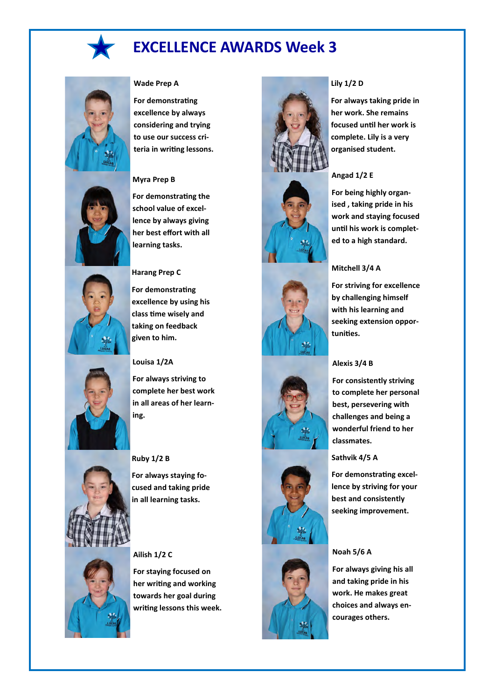

## **EXCELLENCE AWARDS Week 3**



#### **Wade Prep A**

**For demonstrating excellence by always considering and trying to use our success criteria in writing lessons.**

#### **Myra Prep B**

**For demonstrating the school value of excellence by always giving her best effort with all learning tasks.**



#### **Harang Prep C**

**For demonstrating excellence by using his class time wisely and taking on feedback given to him.**

#### **Louisa 1/2A**

**For always striving to complete her best work in all areas of her learning.** 



#### **Ruby 1/2 B**

**For always staying focused and taking pride in all learning tasks.**



#### **Ailish 1/2 C**

**For staying focused on her writing and working towards her goal during writing lessons this week.**













#### **Lily 1/2 D**

**For always taking pride in her work. She remains focused until her work is complete. Lily is a very organised student.**

## **Angad 1/2 E**

**For being highly organised , taking pride in his work and staying focused until his work is completed to a high standard.** 

#### **Mitchell 3/4 A**

**For striving for excellence by challenging himself with his learning and seeking extension opportunities.**

#### **Alexis 3/4 B**

**For consistently striving to complete her personal best, persevering with challenges and being a wonderful friend to her classmates.**

#### **Sathvik 4/5 A**

**For demonstrating excellence by striving for your best and consistently seeking improvement.**

#### **Noah 5/6 A**

**For always giving his all and taking pride in his work. He makes great choices and always encourages others.**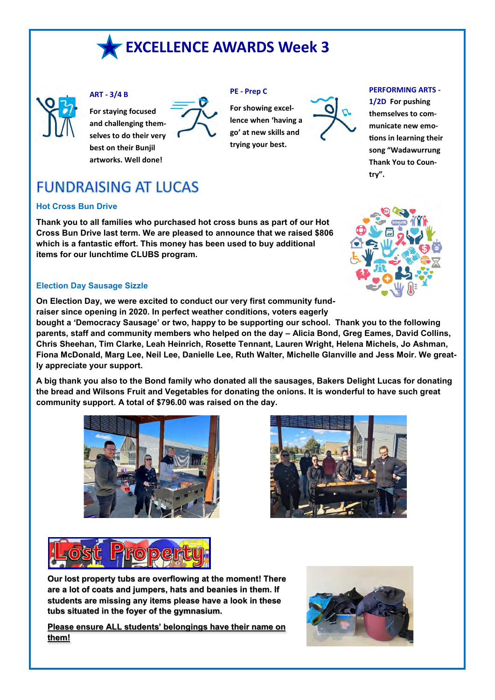



## **ART - 3/4 B**

**For staying focused and challenging themselves to do their very best on their Bunjil artworks. Well done!**



#### **PE - Prep C**

**For showing excellence when 'having a go' at new skills and trying your best.**



#### **PERFORMING ARTS -**

**1/2D For pushing themselves to communicate new emotions in learning their song "Wadawurrung Thank You to Country".**

# **FUNDRAISING AT LUCAS**

## **Hot Cross Bun Drive**

**Thank you to all families who purchased hot cross buns as part of our Hot Cross Bun Drive last term. We are pleased to announce that we raised \$806 which is a fantastic effort. This money has been used to buy additional items for our lunchtime CLUBS program.** 



## **Election Day Sausage Sizzle**

**On Election Day, we were excited to conduct our very first community fundraiser since opening in 2020. In perfect weather conditions, voters eagerly** 

**bought a 'Democracy Sausage' or two, happy to be supporting our school. Thank you to the following parents, staff and community members who helped on the day – Alicia Bond, Greg Eames, David Collins, Chris Sheehan, Tim Clarke, Leah Heinrich, Rosette Tennant, Lauren Wright, Helena Michels, Jo Ashman, Fiona McDonald, Marg Lee, Neil Lee, Danielle Lee, Ruth Walter, Michelle Glanville and Jess Moir. We greatly appreciate your support.** 

**A big thank you also to the Bond family who donated all the sausages, Bakers Delight Lucas for donating the bread and Wilsons Fruit and Vegetables for donating the onions. It is wonderful to have such great community support. A total of \$796.00 was raised on the day.** 







**Our lost property tubs are overflowing at the moment! There are a lot of coats and jumpers, hats and beanies in them. If students are missing any items please have a look in these tubs situated in the foyer of the gymnasium.** 

**Please ensure ALL students' belongings have their name on them!**

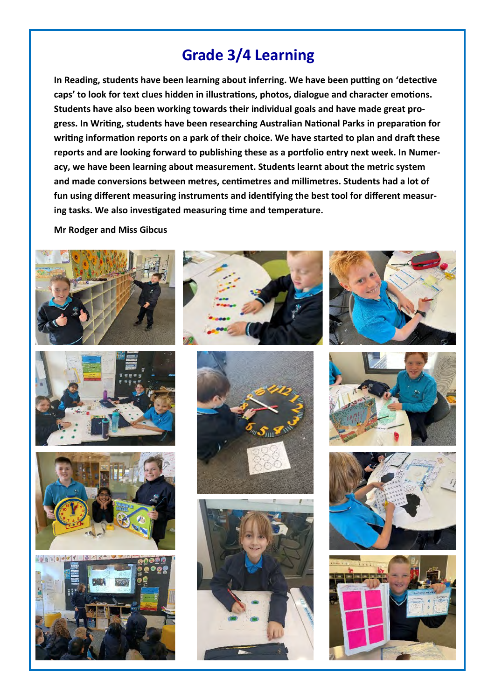# **Grade 3/4 Learning**

**In Reading, students have been learning about inferring. We have been putting on 'detective caps' to look for text clues hidden in illustrations, photos, dialogue and character emotions. Students have also been working towards their individual goals and have made great progress. In Writing, students have been researching Australian National Parks in preparation for writing information reports on a park of their choice. We have started to plan and draft these reports and are looking forward to publishing these as a portfolio entry next week. In Numeracy, we have been learning about measurement. Students learnt about the metric system and made conversions between metres, centimetres and millimetres. Students had a lot of fun using different measuring instruments and identifying the best tool for different measuring tasks. We also investigated measuring time and temperature.**

**Mr Rodger and Miss Gibcus**